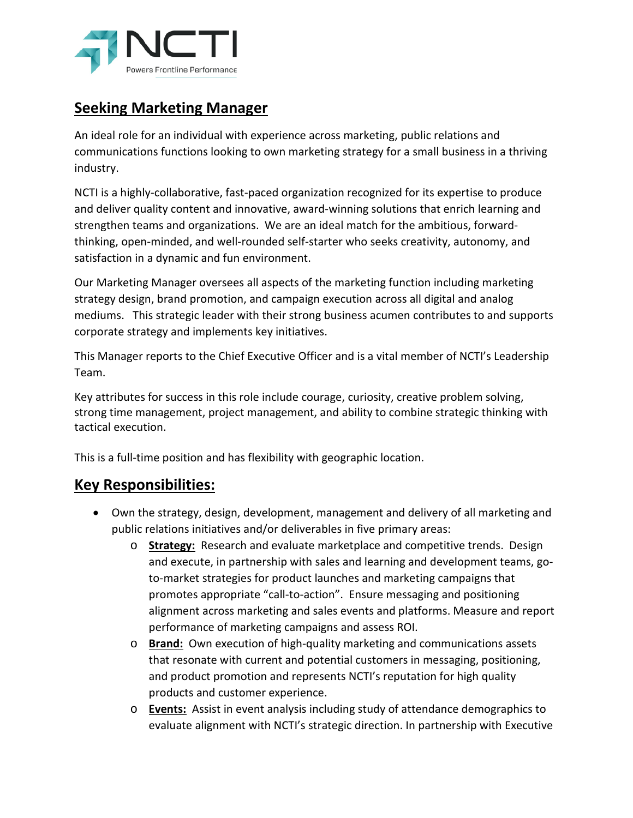

## **Seeking Marketing Manager**

An ideal role for an individual with experience across marketing, public relations and communications functions looking to own marketing strategy for a small business in a thriving industry.

NCTI is a highly-collaborative, fast-paced organization recognized for its expertise to produce and deliver quality content and innovative, award-winning solutions that enrich learning and strengthen teams and organizations. We are an ideal match for the ambitious, forwardthinking, open-minded, and well-rounded self-starter who seeks creativity, autonomy, and satisfaction in a dynamic and fun environment.

Our Marketing Manager oversees all aspects of the marketing function including marketing strategy design, brand promotion, and campaign execution across all digital and analog mediums. This strategic leader with their strong business acumen contributes to and supports corporate strategy and implements key initiatives.

This Manager reports to the Chief Executive Officer and is a vital member of NCTI's Leadership Team.

Key attributes for success in this role include courage, curiosity, creative problem solving, strong time management, project management, and ability to combine strategic thinking with tactical execution.

This is a full-time position and has flexibility with geographic location.

## **Key Responsibilities:**

- Own the strategy, design, development, management and delivery of all marketing and public relations initiatives and/or deliverables in five primary areas:
	- o **Strategy:** Research and evaluate marketplace and competitive trends. Design and execute, in partnership with sales and learning and development teams, goto-market strategies for product launches and marketing campaigns that promotes appropriate "call-to-action". Ensure messaging and positioning alignment across marketing and sales events and platforms. Measure and report performance of marketing campaigns and assess ROI.
	- o **Brand:** Own execution of high-quality marketing and communications assets that resonate with current and potential customers in messaging, positioning, and product promotion and represents NCTI's reputation for high quality products and customer experience.
	- o **Events:** Assist in event analysis including study of attendance demographics to evaluate alignment with NCTI's strategic direction. In partnership with Executive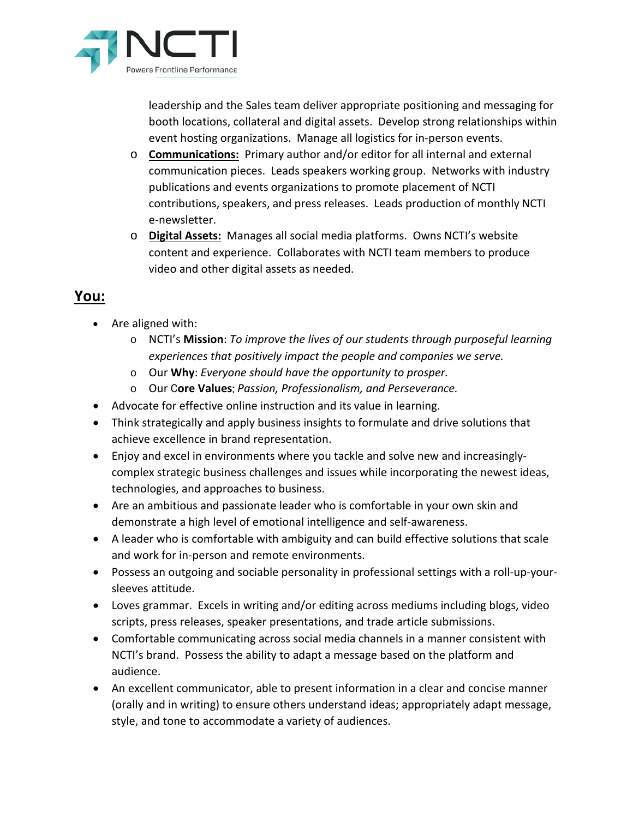

leadership and the Sales team deliver appropriate positioning and messaging for booth locations, collateral and digital assets. Develop strong relationships within event hosting organizations. Manage all logistics for in-person events.

- o **Communications:** Primary author and/or editor for all internal and external communication pieces. Leads speakers working group. Networks with industry publications and events organizations to promote placement of NCTI contributions, speakers, and press releases. Leads production of monthly NCTI e-newsletter.
- o **Digital Assets:** Manages all social media platforms. Owns NCTI's website content and experience. Collaborates with NCTI team members to produce video and other digital assets as needed.

## **You:**

- Are aligned with:
	- o NCTI's **Mission**: *To improve the lives of our students through purposeful learning experiences that positively impact the people and companies we serve.*
	- o Our **Why**: *Everyone should have the opportunity to prosper.*
	- o Our C**ore Values**: *Passion, Professionalism, and Perseverance.*
- Advocate for effective online instruction and its value in learning.
- Think strategically and apply business insights to formulate and drive solutions that achieve excellence in brand representation.
- Enjoy and excel in environments where you tackle and solve new and increasinglycomplex strategic business challenges and issues while incorporating the newest ideas, technologies, and approaches to business.
- Are an ambitious and passionate leader who is comfortable in your own skin and demonstrate a high level of emotional intelligence and self-awareness.
- A leader who is comfortable with ambiguity and can build effective solutions that scale and work for in-person and remote environments.
- Possess an outgoing and sociable personality in professional settings with a roll-up-yoursleeves attitude.
- Loves grammar. Excels in writing and/or editing across mediums including blogs, video scripts, press releases, speaker presentations, and trade article submissions.
- Comfortable communicating across social media channels in a manner consistent with NCTI's brand. Possess the ability to adapt a message based on the platform and audience.
- An excellent communicator, able to present information in a clear and concise manner (orally and in writing) to ensure others understand ideas; appropriately adapt message, style, and tone to accommodate a variety of audiences.